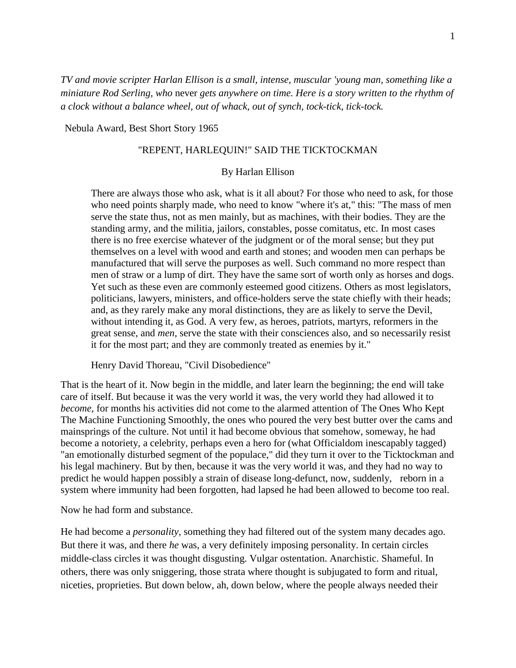*TV and movie scripter Harlan Ellison is a small, intense, muscular 'young man, something like a miniature Rod Serling, who* never *gets anywhere on time. Here is a story written to the rhythm of a clock without a balance wheel, out of whack, out of synch, tock-tick, tick-tock.*

Nebula Award, Best Short Story 1965

## "REPENT, HARLEQUIN!" SAID THE TICKTOCKMAN

## By Harlan Ellison

There are always those who ask, what is it all about? For those who need to ask, for those who need points sharply made, who need to know "where it's at," this: "The mass of men serve the state thus, not as men mainly, but as machines, with their bodies. They are the standing army, and the militia, jailors, constables, posse comitatus, etc. In most cases there is no free exercise whatever of the judgment or of the moral sense; but they put themselves on a level with wood and earth and stones; and wooden men can perhaps be manufactured that will serve the purposes as well. Such command no more respect than men of straw or a lump of dirt. They have the same sort of worth only as horses and dogs. Yet such as these even are commonly esteemed good citizens. Others as most legislators, politicians, lawyers, ministers, and office-holders serve the state chiefly with their heads; and, as they rarely make any moral distinctions, they are as likely to serve the Devil, without intending it, as God. A very few, as heroes, patriots, martyrs, reformers in the great sense, and *men,* serve the state with their consciences also, and so necessarily resist it for the most part; and they are commonly treated as enemies by it."

Henry David Thoreau, "Civil Disobedience"

That is the heart of it. Now begin in the middle, and later learn the beginning; the end will take care of itself. But because it was the very world it was, the very world they had allowed it to *become,* for months his activities did not come to the alarmed attention of The Ones Who Kept The Machine Functioning Smoothly, the ones who poured the very best butter over the cams and mainsprings of the culture. Not until it had become obvious that somehow, someway, he had become a notoriety, a celebrity, perhaps even a hero for (what Officialdom inescapably tagged) "an emotionally disturbed segment of the populace," did they turn it over to the Ticktockman and his legal machinery. But by then, because it was the very world it was, and they had no way to predict he would happen possibly a strain of disease long-defunct, now, suddenly, reborn in a system where immunity had been forgotten, had lapsed he had been allowed to become too real.

Now he had form and substance.

He had become a *personality,* something they had filtered out of the system many decades ago. But there it was, and there *he* was, a very definitely imposing personality. In certain circles middle-class circles it was thought disgusting. Vulgar ostentation. Anarchistic. Shameful. In others, there was only sniggering, those strata where thought is subjugated to form and ritual, niceties, proprieties. But down below, ah, down below, where the people always needed their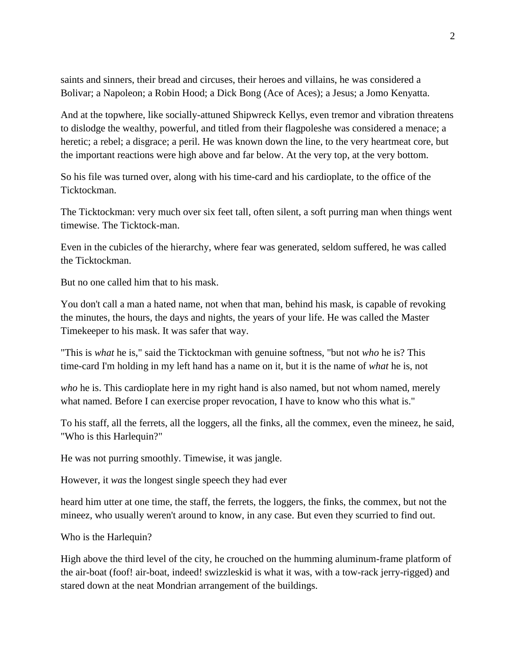saints and sinners, their bread and circuses, their heroes and villains, he was considered a Bolivar; a Napoleon; a Robin Hood; a Dick Bong (Ace of Aces); a Jesus; a Jomo Kenyatta.

And at the topwhere, like socially-attuned Shipwreck Kellys, even tremor and vibration threatens to dislodge the wealthy, powerful, and titled from their flagpoleshe was considered a menace; a heretic; a rebel; a disgrace; a peril. He was known down the line, to the very heartmeat core, but the important reactions were high above and far below. At the very top, at the very bottom.

So his file was turned over, along with his time-card and his cardioplate, to the office of the Ticktockman.

The Ticktockman: very much over six feet tall, often silent, a soft purring man when things went timewise. The Ticktock-man.

Even in the cubicles of the hierarchy, where fear was generated, seldom suffered, he was called the Ticktockman.

But no one called him that to his mask.

You don't call a man a hated name, not when that man, behind his mask, is capable of revoking the minutes, the hours, the days and nights, the years of your life. He was called the Master Timekeeper to his mask. It was safer that way.

"This is *what* he is," said the Ticktockman with genuine softness, "but not *who* he is? This time-card I'm holding in my left hand has a name on it, but it is the name of *what* he is, not

*who* he is. This cardioplate here in my right hand is also named, but not whom named, merely what named. Before I can exercise proper revocation, I have to know who this what is."

To his staff, all the ferrets, all the loggers, all the finks, all the commex, even the mineez, he said, "Who is this Harlequin?"

He was not purring smoothly. Timewise, it was jangle.

However, it *was* the longest single speech they had ever

heard him utter at one time, the staff, the ferrets, the loggers, the finks, the commex, but not the mineez, who usually weren't around to know, in any case. But even they scurried to find out.

Who is the Harlequin?

High above the third level of the city, he crouched on the humming aluminum-frame platform of the air-boat (foof! air-boat, indeed! swizzleskid is what it was, with a tow-rack jerry-rigged) and stared down at the neat Mondrian arrangement of the buildings.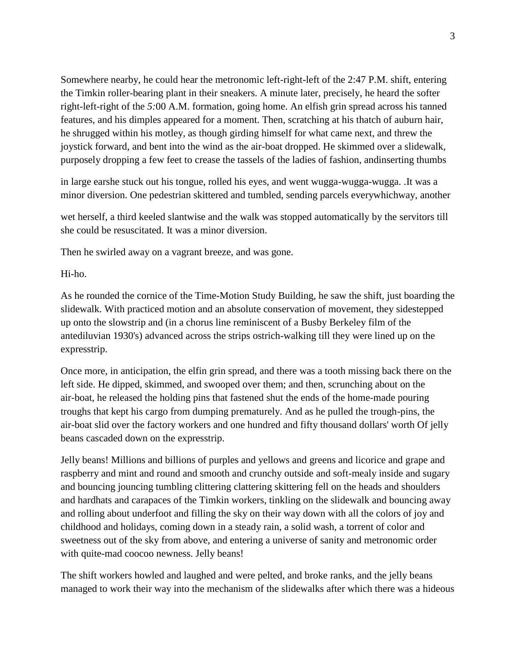Somewhere nearby, he could hear the metronomic left-right-left of the 2:47 P.M. shift, entering the Timkin roller-bearing plant in their sneakers. A minute later, precisely, he heard the softer right-left-right of the *5:*00 A.M. formation, going home. An elfish grin spread across his tanned features, and his dimples appeared for a moment. Then, scratching at his thatch of auburn hair, he shrugged within his motley, as though girding himself for what came next, and threw the joystick forward, and bent into the wind as the air-boat dropped. He skimmed over a slidewalk, purposely dropping a few feet to crease the tassels of the ladies of fashion, andinserting thumbs

in large earshe stuck out his tongue, rolled his eyes, and went wugga-wugga-wugga. .It was a minor diversion. One pedestrian skittered and tumbled, sending parcels everywhichway, another

wet herself, a third keeled slantwise and the walk was stopped automatically by the servitors till she could be resuscitated. It was a minor diversion.

Then he swirled away on a vagrant breeze, and was gone.

Hi-ho.

As he rounded the cornice of the Time-Motion Study Building, he saw the shift, just boarding the slidewalk. With practiced motion and an absolute conservation of movement, they sidestepped up onto the slowstrip and (in a chorus line reminiscent of a Busby Berkeley film of the antediluvian 1930's) advanced across the strips ostrich-walking till they were lined up on the expresstrip.

Once more, in anticipation, the elfin grin spread, and there was a tooth missing back there on the left side. He dipped, skimmed, and swooped over them; and then, scrunching about on the air-boat, he released the holding pins that fastened shut the ends of the home-made pouring troughs that kept his cargo from dumping prematurely. And as he pulled the trough-pins, the air-boat slid over the factory workers and one hundred and fifty thousand dollars' worth Of jelly beans cascaded down on the expresstrip.

Jelly beans! Millions and billions of purples and yellows and greens and licorice and grape and raspberry and mint and round and smooth and crunchy outside and soft-mealy inside and sugary and bouncing jouncing tumbling clittering clattering skittering fell on the heads and shoulders and hardhats and carapaces of the Timkin workers, tinkling on the slidewalk and bouncing away and rolling about underfoot and filling the sky on their way down with all the colors of joy and childhood and holidays, coming down in a steady rain, a solid wash, a torrent of color and sweetness out of the sky from above, and entering a universe of sanity and metronomic order with quite-mad coocoo newness. Jelly beans!

The shift workers howled and laughed and were pelted, and broke ranks, and the jelly beans managed to work their way into the mechanism of the slidewalks after which there was a hideous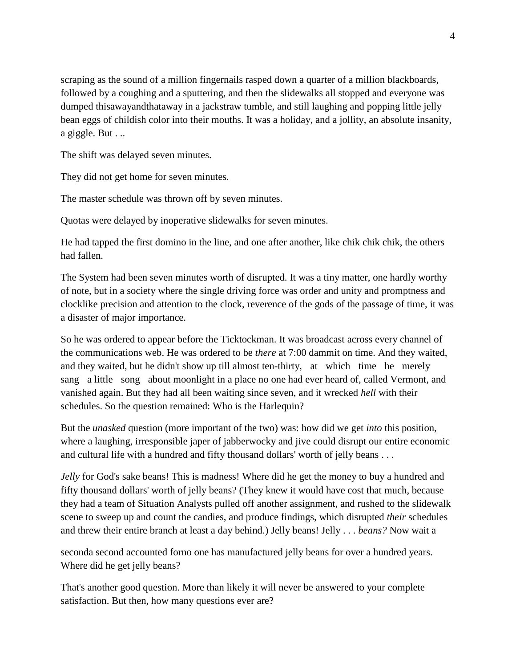scraping as the sound of a million fingernails rasped down a quarter of a million blackboards, followed by a coughing and a sputtering, and then the slidewalks all stopped and everyone was dumped thisawayandthataway in a jackstraw tumble, and still laughing and popping little jelly bean eggs of childish color into their mouths. It was a holiday, and a jollity, an absolute insanity, a giggle. But . ..

The shift was delayed seven minutes.

They did not get home for seven minutes.

The master schedule was thrown off by seven minutes.

Quotas were delayed by inoperative slidewalks for seven minutes.

He had tapped the first domino in the line, and one after another, like chik chik chik, the others had fallen.

The System had been seven minutes worth of disrupted. It was a tiny matter, one hardly worthy of note, but in a society where the single driving force was order and unity and promptness and clocklike precision and attention to the clock, reverence of the gods of the passage of time, it was a disaster of major importance.

So he was ordered to appear before the Ticktockman. It was broadcast across every channel of the communications web. He was ordered to be *there* at 7:00 dammit on time. And they waited, and they waited, but he didn't show up till almost ten-thirty, at which time he merely sang a little song about moonlight in a place no one had ever heard of, called Vermont, and vanished again. But they had all been waiting since seven, and it wrecked *hell* with their schedules. So the question remained: Who is the Harlequin?

But the *unasked* question (more important of the two) was: how did we get *into* this position, where a laughing, irresponsible japer of jabberwocky and jive could disrupt our entire economic and cultural life with a hundred and fifty thousand dollars' worth of jelly beans . . .

*Jelly* for God's sake beans! This is madness! Where did he get the money to buy a hundred and fifty thousand dollars' worth of jelly beans? (They knew it would have cost that much, because they had a team of Situation Analysts pulled off another assignment, and rushed to the slidewalk scene to sweep up and count the candies, and produce findings, which disrupted *their* schedules and threw their entire branch at least a day behind.) Jelly beans! Jelly . . . *beans?* Now wait a

seconda second accounted forno one has manufactured jelly beans for over a hundred years. Where did he get jelly beans?

That's another good question. More than likely it will never be answered to your complete satisfaction. But then, how many questions ever are?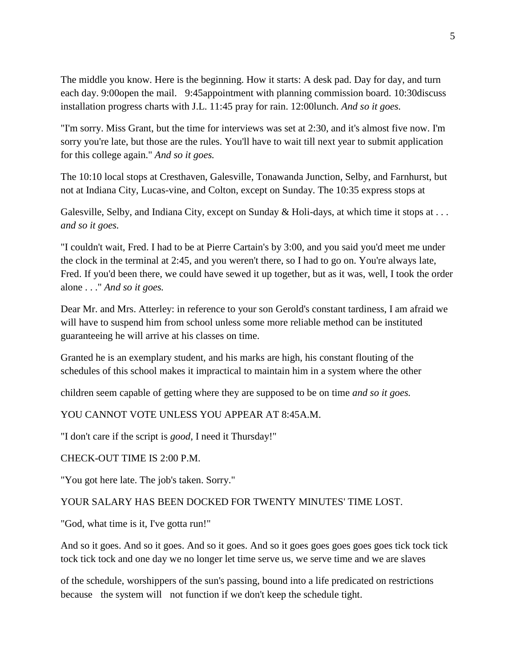The middle you know. Here is the beginning. How it starts: A desk pad. Day for day, and turn each day. 9:00open the mail. 9:45appointment with planning commission board. 10:30discuss installation progress charts with J.L. 11:45 pray for rain. 12:00lunch. *And so it goes.*

"I'm sorry. Miss Grant, but the time for interviews was set at 2:30, and it's almost five now. I'm sorry you're late, but those are the rules. You'll have to wait till next year to submit application for this college again." *And so it goes.*

The 10:10 local stops at Cresthaven, Galesville, Tonawanda Junction, Selby, and Farnhurst, but not at Indiana City, Lucas-vine, and Colton, except on Sunday. The 10:35 express stops at

Galesville, Selby, and Indiana City, except on Sunday & Holi-days, at which time it stops at  $\dots$ *and so it goes.*

"I couldn't wait, Fred. I had to be at Pierre Cartain's by 3:00, and you said you'd meet me under the clock in the terminal at 2:45, and you weren't there, so I had to go on. You're always late, Fred. If you'd been there, we could have sewed it up together, but as it was, well, I took the order alone . . ." *And so it goes.*

Dear Mr. and Mrs. Atterley: in reference to your son Gerold's constant tardiness, I am afraid we will have to suspend him from school unless some more reliable method can be instituted guaranteeing he will arrive at his classes on time.

Granted he is an exemplary student, and his marks are high, his constant flouting of the schedules of this school makes it impractical to maintain him in a system where the other

children seem capable of getting where they are supposed to be on time *and so it goes.*

YOU CANNOT VOTE UNLESS YOU APPEAR AT 8:45A.M.

"I don't care if the script is *good,* I need it Thursday!"

## CHECK-OUT TIME IS 2:00 P.M.

"You got here late. The job's taken. Sorry."

## YOUR SALARY HAS BEEN DOCKED FOR TWENTY MINUTES' TIME LOST.

"God, what time is it, I've gotta run!"

And so it goes. And so it goes. And so it goes. And so it goes goes goes goes goes tick tock tick tock tick tock and one day we no longer let time serve us, we serve time and we are slaves

of the schedule, worshippers of the sun's passing, bound into a life predicated on restrictions because the system will not function if we don't keep the schedule tight.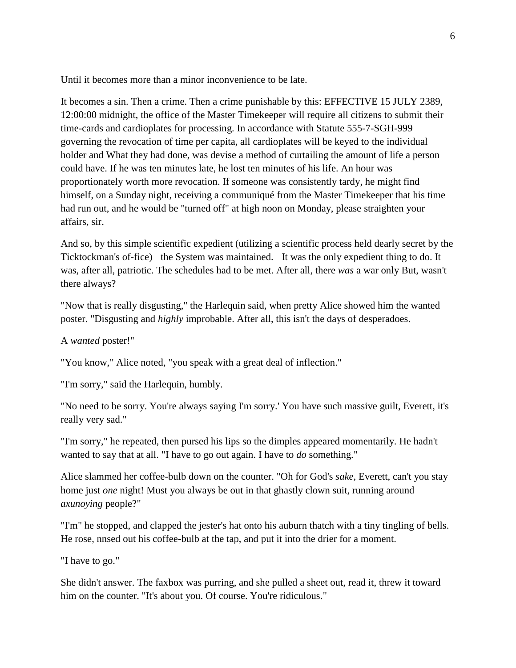Until it becomes more than a minor inconvenience to be late.

It becomes a sin. Then a crime. Then a crime punishable by this: EFFECTIVE 15 JULY 2389, 12:00:00 midnight, the office of the Master Timekeeper will require all citizens to submit their time-cards and cardioplates for processing. In accordance with Statute 555-7-SGH-999 governing the revocation of time per capita, all cardioplates will be keyed to the individual holder and What they had done, was devise a method of curtailing the amount of life a person could have. If he was ten minutes late, he lost ten minutes of his life. An hour was proportionately worth more revocation. If someone was consistently tardy, he might find himself, on a Sunday night, receiving a communiqué from the Master Timekeeper that his time had run out, and he would be "turned off" at high noon on Monday, please straighten your affairs, sir.

And so, by this simple scientific expedient (utilizing a scientific process held dearly secret by the Ticktockman's of-fice) the System was maintained. It was the only expedient thing to do. It was, after all, patriotic. The schedules had to be met. After all, there *was* a war only But, wasn't there always?

"Now that is really disgusting," the Harlequin said, when pretty Alice showed him the wanted poster. "Disgusting and *highly* improbable. After all, this isn't the days of desperadoes.

A *wanted* poster!"

"You know," Alice noted, "you speak with a great deal of inflection."

"I'm sorry," said the Harlequin, humbly.

"No need to be sorry. You're always saying I'm sorry.' You have such massive guilt, Everett, it's really very sad."

"I'm sorry," he repeated, then pursed his lips so the dimples appeared momentarily. He hadn't wanted to say that at all. "I have to go out again. I have to *do* something."

Alice slammed her coffee-bulb down on the counter. "Oh for God's *sake,* Everett, can't you stay home just *one* night! Must you always be out in that ghastly clown suit, running around *axunoying* people?"

"I'm" he stopped, and clapped the jester's hat onto his auburn thatch with a tiny tingling of bells. He rose, nnsed out his coffee-bulb at the tap, and put it into the drier for a moment.

"I have to go."

She didn't answer. The faxbox was purring, and she pulled a sheet out, read it, threw it toward him on the counter. "It's about you. Of course. You're ridiculous."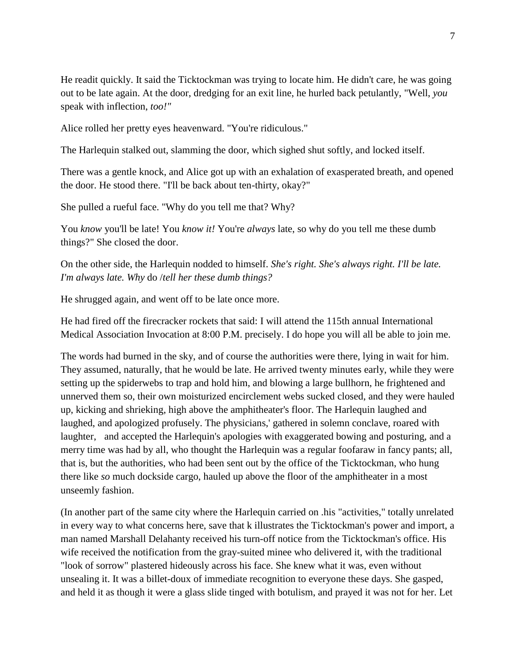He readit quickly. It said the Ticktockman was trying to locate him. He didn't care, he was going out to be late again. At the door, dredging for an exit line, he hurled back petulantly, "Well, *you* speak with inflection, *too!"*

Alice rolled her pretty eyes heavenward. "You're ridiculous."

The Harlequin stalked out, slamming the door, which sighed shut softly, and locked itself.

There was a gentle knock, and Alice got up with an exhalation of exasperated breath, and opened the door. He stood there. "I'll be back about ten-thirty, okay?"

She pulled a rueful face. "Why do you tell me that? Why?

You *know* you'll be late! You *know it!* You're *always* late, so why do you tell me these dumb things?" She closed the door.

On the other side, the Harlequin nodded to himself. *She's right. She's always right. I'll be late. I'm always late. Why* do /*tell her these dumb things?*

He shrugged again, and went off to be late once more.

He had fired off the firecracker rockets that said: I will attend the 115th annual International Medical Association Invocation at 8:00 P.M. precisely. I do hope you will all be able to join me.

The words had burned in the sky, and of course the authorities were there, lying in wait for him. They assumed, naturally, that he would be late. He arrived twenty minutes early, while they were setting up the spiderwebs to trap and hold him, and blowing a large bullhorn, he frightened and unnerved them so, their own moisturized encirclement webs sucked closed, and they were hauled up, kicking and shrieking, high above the amphitheater's floor. The Harlequin laughed and laughed, and apologized profusely. The physicians,' gathered in solemn conclave, roared with laughter, and accepted the Harlequin's apologies with exaggerated bowing and posturing, and a merry time was had by all, who thought the Harlequin was a regular foofaraw in fancy pants; all, that is, but the authorities, who had been sent out by the office of the Ticktockman, who hung there like *so* much dockside cargo, hauled up above the floor of the amphitheater in a most unseemly fashion.

(In another part of the same city where the Harlequin carried on .his "activities," totally unrelated in every way to what concerns here, save that k illustrates the Ticktockman's power and import, a man named Marshall Delahanty received his turn-off notice from the Ticktockman's office. His wife received the notification from the gray-suited minee who delivered it, with the traditional "look of sorrow" plastered hideously across his face. She knew what it was, even without unsealing it. It was a billet-doux of immediate recognition to everyone these days. She gasped, and held it as though it were a glass slide tinged with botulism, and prayed it was not for her. Let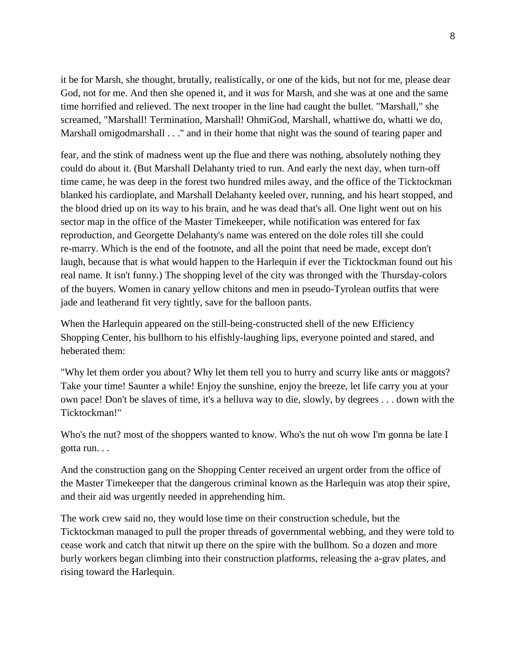it be for Marsh, she thought, brutally, realistically, or one of the kids, but not for me, please dear God, not for me. And then she opened it, and it *was* for Marsh, and she was at one and the same time horrified and relieved. The next trooper in the line had caught the bullet. "Marshall," she screamed, "Marshall! Termination, Marshall! OhmiGod, Marshall, whattiwe do, whatti we do, Marshall omigodmarshall . . ." and in their home that night was the sound of tearing paper and

fear, and the stink of madness went up the flue and there was nothing, absolutely nothing they could do about it. (But Marshall Delahanty tried to run. And early the next day, when turn-off time came, he was deep in the forest two hundred miles away, and the office of the Ticktockman blanked his cardioplate, and Marshall Delahanty keeled over, running, and his heart stopped, and the blood dried up on its way to his brain, and he was dead that's all. One light went out on his sector map in the office of the Master Timekeeper, while notification was entered for fax reproduction, and Georgette Delahanty's name was entered on the dole roles till she could re-marry. Which is the end of the footnote, and all the point that need be made, except don't laugh, because that is what would happen to the Harlequin if ever the Ticktockman found out his real name. It isn't funny.) The shopping level of the city was thronged with the Thursday-colors of the buyers. Women in canary yellow chitons and men in pseudo-Tyrolean outfits that were jade and leatherand fit very tightly, save for the balloon pants.

When the Harlequin appeared on the still-being-constructed shell of the new Efficiency Shopping Center, his bullhorn to his elfishly-laughing lips, everyone pointed and stared, and heberated them:

"Why let them order you about? Why let them tell you to hurry and scurry like ants or maggots? Take your time! Saunter a while! Enjoy the sunshine, enjoy the breeze, let life carry you at your own pace! Don't be slaves of time, it's a helluva way to die, slowly, by degrees . . . down with the Ticktockman!"

Who's the nut? most of the shoppers wanted to know. Who's the nut oh wow I'm gonna be late I gotta run. . .

And the construction gang on the Shopping Center received an urgent order from the office of the Master Timekeeper that the dangerous criminal known as the Harlequin was atop their spire, and their aid was urgently needed in apprehending him.

The work crew said no, they would lose time on their construction schedule, but the Ticktockman managed to pull the proper threads of governmental webbing, and they were told to cease work and catch that nitwit up there on the spire with the bullhom. So a dozen and more burly workers began climbing into their construction platforms, releasing the a-grav plates, and rising toward the Harlequin.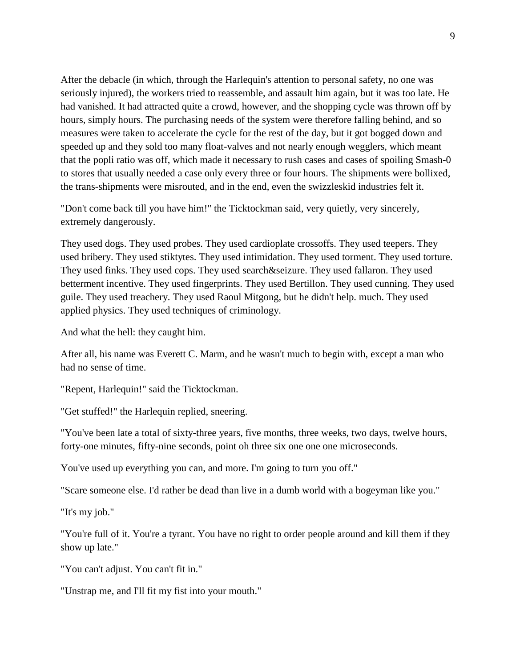After the debacle (in which, through the Harlequin's attention to personal safety, no one was seriously injured), the workers tried to reassemble, and assault him again, but it was too late. He had vanished. It had attracted quite a crowd, however, and the shopping cycle was thrown off by hours, simply hours. The purchasing needs of the system were therefore falling behind, and so measures were taken to accelerate the cycle for the rest of the day, but it got bogged down and speeded up and they sold too many float-valves and not nearly enough wegglers, which meant that the popli ratio was off, which made it necessary to rush cases and cases of spoiling Smash-0 to stores that usually needed a case only every three or four hours. The shipments were bollixed, the trans-shipments were misrouted, and in the end, even the swizzleskid industries felt it.

"Don't come back till you have him!" the Ticktockman said, very quietly, very sincerely, extremely dangerously.

They used dogs. They used probes. They used cardioplate crossoffs. They used teepers. They used bribery. They used stiktytes. They used intimidation. They used torment. They used torture. They used finks. They used cops. They used search&seizure. They used fallaron. They used betterment incentive. They used fingerprints. They used Bertillon. They used cunning. They used guile. They used treachery. They used Raoul Mitgong, but he didn't help. much. They used applied physics. They used techniques of criminology.

And what the hell: they caught him.

After all, his name was Everett C. Marm, and he wasn't much to begin with, except a man who had no sense of time.

"Repent, Harlequin!" said the Ticktockman.

"Get stuffed!" the Harlequin replied, sneering.

"You've been late a total of sixty-three years, five months, three weeks, two days, twelve hours, forty-one minutes, fifty-nine seconds, point oh three six one one one microseconds.

You've used up everything you can, and more. I'm going to turn you off."

"Scare someone else. I'd rather be dead than live in a dumb world with a bogeyman like you."

"It's my job."

"You're full of it. You're a tyrant. You have no right to order people around and kill them if they show up late."

"You can't adjust. You can't fit in."

"Unstrap me, and I'll fit my fist into your mouth."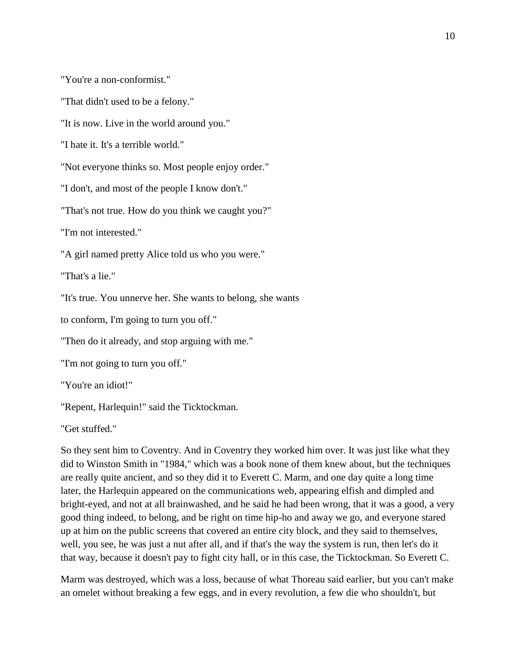"You're a non-conformist."

"That didn't used to be a felony."

"It is now. Live in the world around you."

"I hate it. It's a terrible world."

"Not everyone thinks so. Most people enjoy order."

"I don't, and most of the people I know don't."

"That's not true. How do you think we caught you?"

"I'm not interested."

"A girl named pretty Alice told us who you were."

"That's a lie."

"It's true. You unnerve her. She wants to belong, she wants

to conform, I'm going to turn you off."

"Then do it already, and stop arguing with me."

"I'm not going to turn you off."

"You're an idiot!"

"Repent, Harlequin!" said the Ticktockman.

"Get stuffed."

So they sent him to Coventry. And in Coventry they worked him over. It was just like what they did to Winston Smith in "1984," which was a book none of them knew about, but the techniques are really quite ancient, and so they did it to Everett C. Marm, and one day quite a long time later, the Harlequin appeared on the communications web, appearing elfish and dimpled and bright-eyed, and not at all brainwashed, and he said he had been wrong, that it was a good, a very good thing indeed, to belong, and be right on time hip-ho and away we go, and everyone stared up at him on the public screens that covered an entire city block, and they said to themselves, well, you see, he was just a nut after all, and if that's the way the system is run, then let's do it that way, because it doesn't pay to fight city hall, or in this case, the Ticktockman. So Everett C.

Marm was destroyed, which was a loss, because of what Thoreau said earlier, but you can't make an omelet without breaking a few eggs, and in every revolution, a few die who shouldn't, but